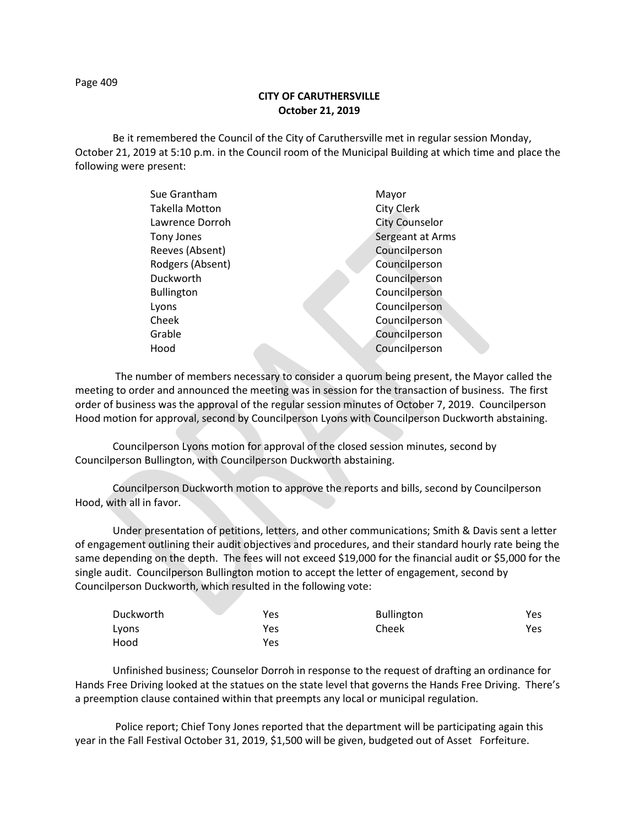Page 409

## **CITY OF CARUTHERSVILLE October 21, 2019**

Be it remembered the Council of the City of Caruthersville met in regular session Monday, October 21, 2019 at 5:10 p.m. in the Council room of the Municipal Building at which time and place the following were present:

| Sue Grantham      |  | Mayor                 |
|-------------------|--|-----------------------|
| Takella Motton    |  | City Clerk            |
| Lawrence Dorroh   |  | <b>City Counselor</b> |
| Tony Jones        |  | Sergeant at Arms      |
| Reeves (Absent)   |  | Councilperson         |
| Rodgers (Absent)  |  | Councilperson         |
| Duckworth         |  | Councilperson         |
| <b>Bullington</b> |  | Councilperson         |
| Lyons             |  | Councilperson         |
| Cheek             |  | Councilperson         |
| Grable            |  | Councilperson         |
| Hood              |  | Councilperson         |
|                   |  |                       |

 The number of members necessary to consider a quorum being present, the Mayor called the meeting to order and announced the meeting was in session for the transaction of business. The first order of business was the approval of the regular session minutes of October 7, 2019. Councilperson Hood motion for approval, second by Councilperson Lyons with Councilperson Duckworth abstaining.

Councilperson Lyons motion for approval of the closed session minutes, second by Councilperson Bullington, with Councilperson Duckworth abstaining.

Councilperson Duckworth motion to approve the reports and bills, second by Councilperson Hood, with all in favor.

Under presentation of petitions, letters, and other communications; Smith & Davis sent a letter of engagement outlining their audit objectives and procedures, and their standard hourly rate being the same depending on the depth. The fees will not exceed \$19,000 for the financial audit or \$5,000 for the single audit. Councilperson Bullington motion to accept the letter of engagement, second by Councilperson Duckworth, which resulted in the following vote:

| Duckworth | Yes | <b>Bullington</b> | Yes |
|-----------|-----|-------------------|-----|
| Lyons     | Yes | Cheek             | Yes |
| Hood      | Yes |                   |     |

Unfinished business; Counselor Dorroh in response to the request of drafting an ordinance for Hands Free Driving looked at the statues on the state level that governs the Hands Free Driving. There's a preemption clause contained within that preempts any local or municipal regulation.

 Police report; Chief Tony Jones reported that the department will be participating again this year in the Fall Festival October 31, 2019, \$1,500 will be given, budgeted out of Asset Forfeiture.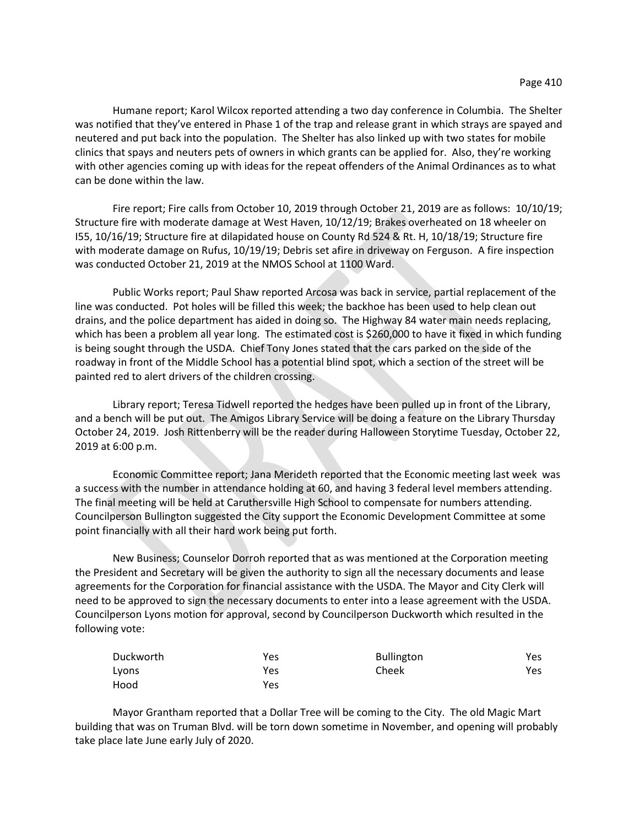Humane report; Karol Wilcox reported attending a two day conference in Columbia. The Shelter was notified that they've entered in Phase 1 of the trap and release grant in which strays are spayed and neutered and put back into the population. The Shelter has also linked up with two states for mobile clinics that spays and neuters pets of owners in which grants can be applied for. Also, they're working with other agencies coming up with ideas for the repeat offenders of the Animal Ordinances as to what can be done within the law.

Fire report; Fire calls from October 10, 2019 through October 21, 2019 are as follows: 10/10/19; Structure fire with moderate damage at West Haven, 10/12/19; Brakes overheated on 18 wheeler on I55, 10/16/19; Structure fire at dilapidated house on County Rd 524 & Rt. H, 10/18/19; Structure fire with moderate damage on Rufus, 10/19/19; Debris set afire in driveway on Ferguson. A fire inspection was conducted October 21, 2019 at the NMOS School at 1100 Ward.

Public Works report; Paul Shaw reported Arcosa was back in service, partial replacement of the line was conducted. Pot holes will be filled this week; the backhoe has been used to help clean out drains, and the police department has aided in doing so. The Highway 84 water main needs replacing, which has been a problem all year long. The estimated cost is \$260,000 to have it fixed in which funding is being sought through the USDA. Chief Tony Jones stated that the cars parked on the side of the roadway in front of the Middle School has a potential blind spot, which a section of the street will be painted red to alert drivers of the children crossing.

Library report; Teresa Tidwell reported the hedges have been pulled up in front of the Library, and a bench will be put out. The Amigos Library Service will be doing a feature on the Library Thursday October 24, 2019. Josh Rittenberry will be the reader during Halloween Storytime Tuesday, October 22, 2019 at 6:00 p.m.

Economic Committee report; Jana Merideth reported that the Economic meeting last week was a success with the number in attendance holding at 60, and having 3 federal level members attending. The final meeting will be held at Caruthersville High School to compensate for numbers attending. Councilperson Bullington suggested the City support the Economic Development Committee at some point financially with all their hard work being put forth.

New Business; Counselor Dorroh reported that as was mentioned at the Corporation meeting the President and Secretary will be given the authority to sign all the necessary documents and lease agreements for the Corporation for financial assistance with the USDA. The Mayor and City Clerk will need to be approved to sign the necessary documents to enter into a lease agreement with the USDA. Councilperson Lyons motion for approval, second by Councilperson Duckworth which resulted in the following vote:

| Duckworth | Yes | <b>Bullington</b> | Yes. |
|-----------|-----|-------------------|------|
| Lyons     | Yes | Cheek             | Yes  |
| Hood      | Yes |                   |      |

Mayor Grantham reported that a Dollar Tree will be coming to the City. The old Magic Mart building that was on Truman Blvd. will be torn down sometime in November, and opening will probably take place late June early July of 2020.